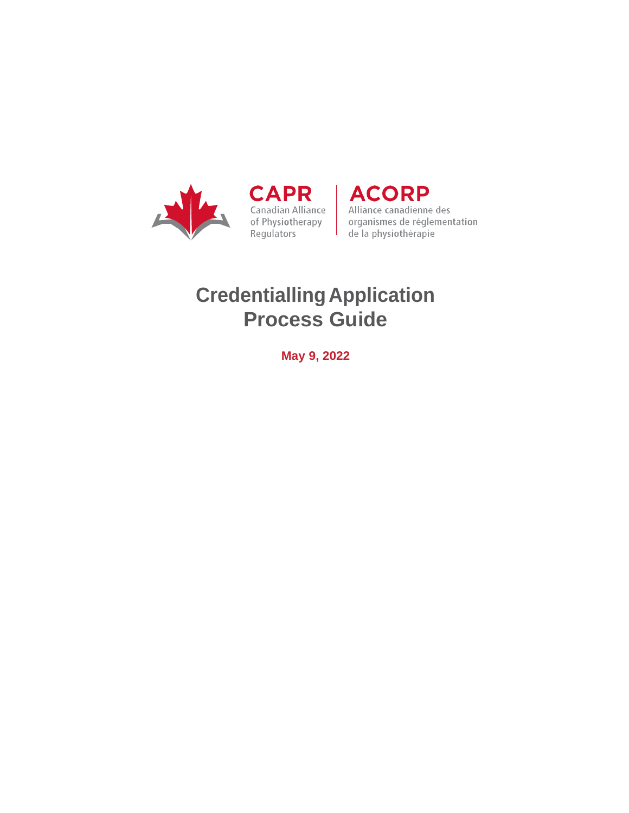

CAPR | ACORP

Canadian Alliance<br>
of Physiotherapy<br>
Regulators<br>
Regulators<br>
Regulators<br>
Regulators<br>
Regulators<br>
Regulators<br>
Regulators<br>
Regulators<br>
Regulators<br>
Regulators<br>
Regulators<br>
Regulators<br>
Regulators<br>
Regulators<br>
Regulators<br>
Regul

# **CredentiallingApplication Process Guide**

**May 9, 2022**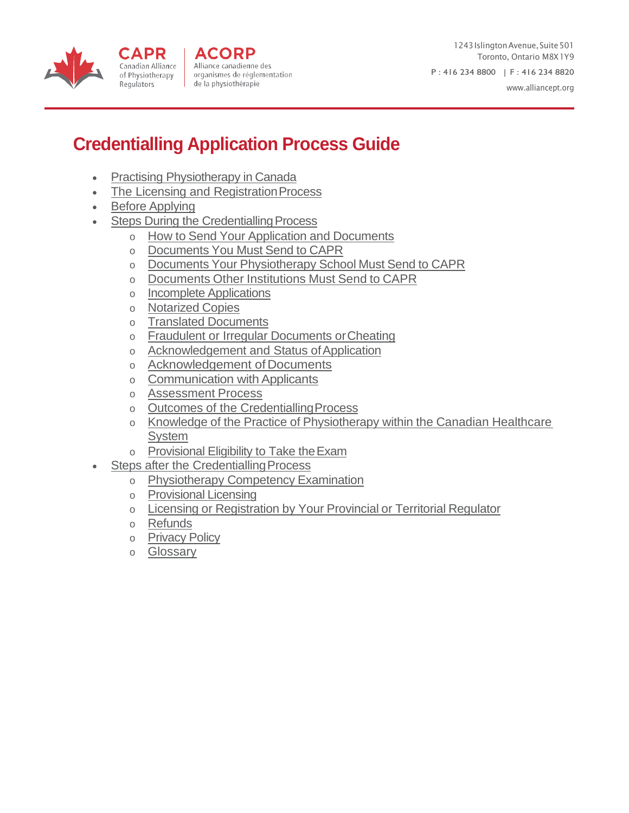



1243 Islington Avenue, Suite 501 Toronto, Ontario M8X1Y9 P : 416 234 8800 | F : 416 234 8820 [www.alliancept.org](http://www.alliancept.org/)

# **Credentialling Application Process Guide**

- [Practising Physiotherapy in](#page-2-0) Canada
- The Licensing and Registration Process
- Before [Applying](#page-5-0)

CAPR

Regulators

- **Steps During the Credentialling Process** 
	- o How to Send Your Application and [Documents](#page-6-0)
	- o [Documents](#page-6-0) You Must Send to CAPR
	- o Documents Your [Physiotherapy](#page-8-0) School Must Send to CAPR
	- o [Documents](#page-9-0) Other Institutions Must Send to CAPR
	- o Incomplete [Applications](#page-9-0)
	- o [Notarized](#page-9-0) Copies
	- o Translated [Documents](#page-9-0)
	- o [Fraudulent or Irregular Documents orCheating](#page-10-0)
	- o Acknowledgement and Status of Application
	- o Acknowledgement ofDocuments
	- o Communication with Applicants
	- o [Assessment](#page-12-0) Process
	- o [Outcomes of the CredentiallingProcess](#page-12-1)
	- o Knowledge of the Practice of [Physiotherapy](#page-13-0) within the Canadian Healthcare **[System](#page-13-0)**
	- o [Provisional Eligibility to Take theExam](#page-13-0)
- Steps after the Credentialling Process
	- o [Physiotherapy Competency](#page-13-0) Examination
	- o [Provisional](#page-14-0) Licensing
	- o Licensing or [Registration](#page-14-1) by Your Provincial or Territorial Regulator
	- o [Refunds](#page-14-1)
	- o [Privacy](#page-15-0) Policy
	- o [Glossary](#page-16-0)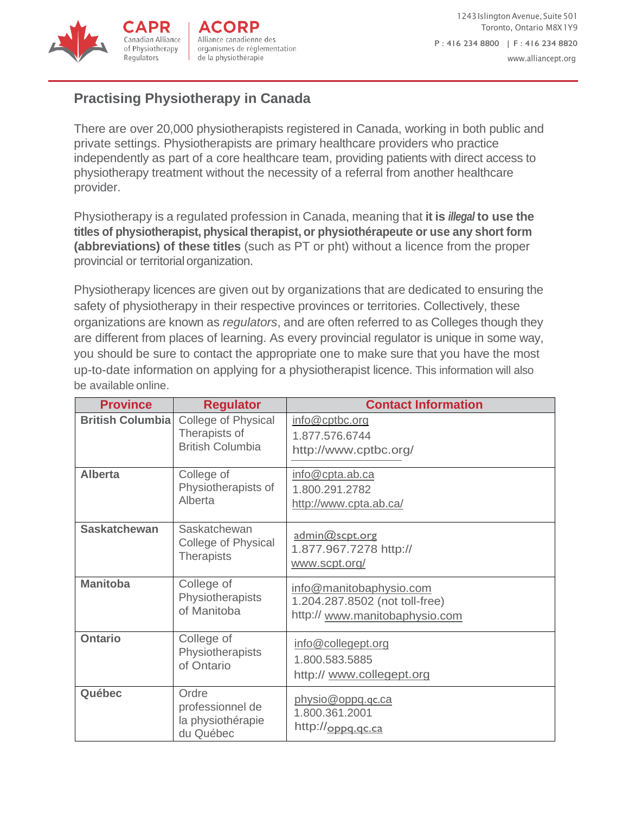

# <span id="page-2-0"></span>**Practising Physiotherapy in Canada**

There are over 20,000 physiotherapists registered in Canada, working in both public and private settings. Physiotherapists are primary healthcare providers who practice independently as part of a core healthcare team, providing patients with direct access to physiotherapy treatment without the necessity of a referral from another healthcare provider.

Physiotherapy is a regulated profession in Canada, meaning that **it is** *illegal* **to use the titles of physiotherapist, physical therapist, or physiothérapeute or use any short form (abbreviations) of these titles** (such as PT or pht) without a licence from the proper provincial or territorial organization.

Physiotherapy licences are given out by organizations that are dedicated to ensuring the safety of physiotherapy in their respective provinces or territories. Collectively, these organizations are known as *regulators*, and are often referred to as Colleges though they are different from places of learning. As every provincial regulator is unique in some way, you should be sure to contact the appropriate one to make sure that you have the most up-to-date information on applying for a physiotherapist licence. This information will also be available online.

| <b>Province</b>         | <b>Regulator</b>                                                | <b>Contact Information</b>                                                                  |
|-------------------------|-----------------------------------------------------------------|---------------------------------------------------------------------------------------------|
| <b>British Columbia</b> | College of Physical<br>Therapists of<br><b>British Columbia</b> | info@cptbc.org<br>1.877.576.6744<br>http://www.cptbc.org/                                   |
| <b>Alberta</b>          | College of<br>Physiotherapists of<br>Alberta                    | info@cpta.ab.ca<br>1.800.291.2782<br>http://www.cpta.ab.ca/                                 |
| <b>Saskatchewan</b>     | Saskatchewan<br>College of Physical<br><b>Therapists</b>        | admin@scpt.org<br>1.877.967.7278 http://<br>www.scpt.org/                                   |
| <b>Manitoba</b>         | College of<br>Physiotherapists<br>of Manitoba                   | info@manitobaphysio.com<br>1.204.287.8502 (not toll-free)<br>http:// www.manitobaphysio.com |
| <b>Ontario</b>          | College of<br>Physiotherapists<br>of Ontario                    | info@collegept.org<br>1.800.583.5885<br>http:// www.collegept.org                           |
| Québec                  | Ordre<br>professionnel de<br>la physiothérapie<br>du Québec     | physio@oppq.qc.ca<br>1.800.361.2001<br>http://oppq.qc.ca                                    |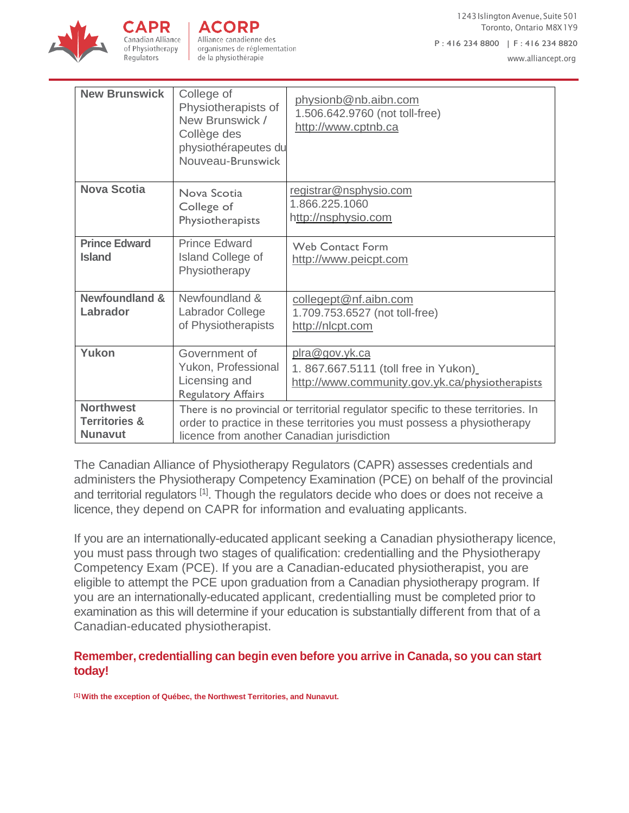

of Physiotherapy

Regulators

Alliance canadienne des organismes de réglementation de la physiothérapie

[www.alliancept.org](http://www.alliancept.org/)

| <b>New Brunswick</b>                                           | College of<br>Physiotherapists of<br>New Brunswick /<br>Collège des<br>physiothérapeutes du<br>Nouveau-Brunswick                                                                                           | physionb@nb.aibn.com<br>1.506.642.9760 (not toll-free)<br>http://www.cptnb.ca                            |
|----------------------------------------------------------------|------------------------------------------------------------------------------------------------------------------------------------------------------------------------------------------------------------|----------------------------------------------------------------------------------------------------------|
| <b>Nova Scotia</b>                                             | Nova Scotia<br>College of<br>Physiotherapists                                                                                                                                                              | registrar@nsphysio.com<br>1.866.225.1060<br>http://nsphysio.com                                          |
| <b>Prince Edward</b><br><b>Island</b>                          | <b>Prince Edward</b><br><b>Island College of</b><br>Physiotherapy                                                                                                                                          | <b>Web Contact Form</b><br>http://www.peicpt.com                                                         |
| <b>Newfoundland &amp;</b><br>Labrador                          | Newfoundland &<br>Labrador College<br>of Physiotherapists                                                                                                                                                  | collegept@nf.aibn.com<br>1.709.753.6527 (not toll-free)<br>http://nlcpt.com                              |
| Yukon                                                          | Government of<br>Yukon, Professional<br>Licensing and<br><b>Regulatory Affairs</b>                                                                                                                         | plra@gov.yk.ca<br>1.867.667.5111 (toll free in Yukon)<br>http://www.community.gov.yk.ca/physiotherapists |
| <b>Northwest</b><br><b>Territories &amp;</b><br><b>Nunavut</b> | There is no provincial or territorial regulator specific to these territories. In<br>order to practice in these territories you must possess a physiotherapy<br>licence from another Canadian jurisdiction |                                                                                                          |

The Canadian Alliance of Physiotherapy Regulators (CAPR) assesses credentials and administers the Physiotherapy Competency Examination (PCE) on behalf of the provincial and territorial regulators <sup>[1]</sup>. Though the regulators decide who does or does not receive a licence, they depend on CAPR for information and evaluating applicants.

If you are an internationally-educated applicant seeking a Canadian physiotherapy licence, you must pass through two stages of qualification: credentialling and the Physiotherapy Competency Exam (PCE). If you are a Canadian-educated physiotherapist, you are eligible to attempt the PCE upon graduation from a Canadian physiotherapy program. If you are an internationally-educated applicant, credentialling must be completed prior to examination as this will determine if your education is substantially different from that of a Canadian-educated physiotherapist.

#### **Remember, credentialling can begin even before you arrive in Canada, so you can start today!**

**[1] With the exception of Québec, the Northwest Territories, and Nunavut.**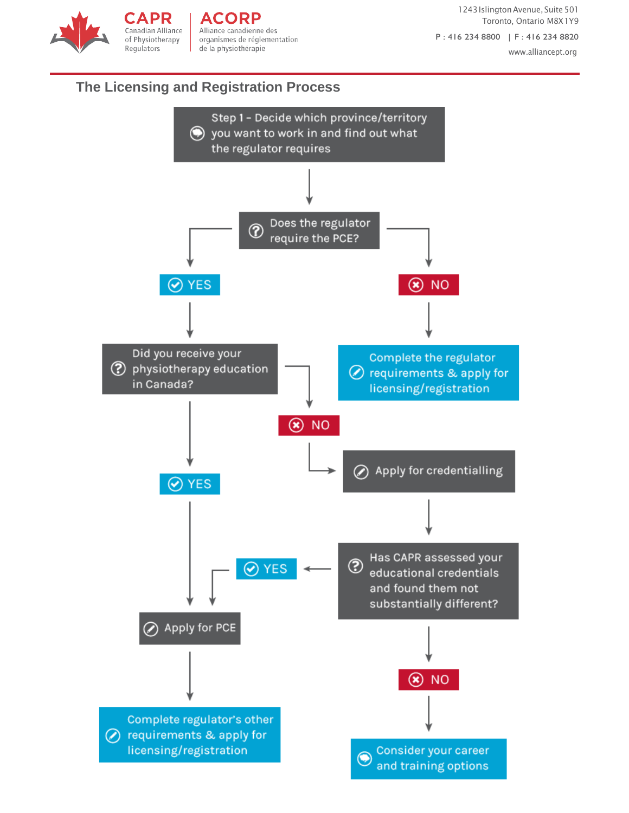1243 Islington Avenue, Suite 501 Toronto, Ontario M8X1Y9 P : 416 234 8800 | F : 416 234 8820 [www.alliancept.org](http://www.alliancept.org/)

### <span id="page-4-0"></span>**The Licensing and Registration Process**

**CAPR** 

Canadian Alliance

of Physiotherapy

Regulators

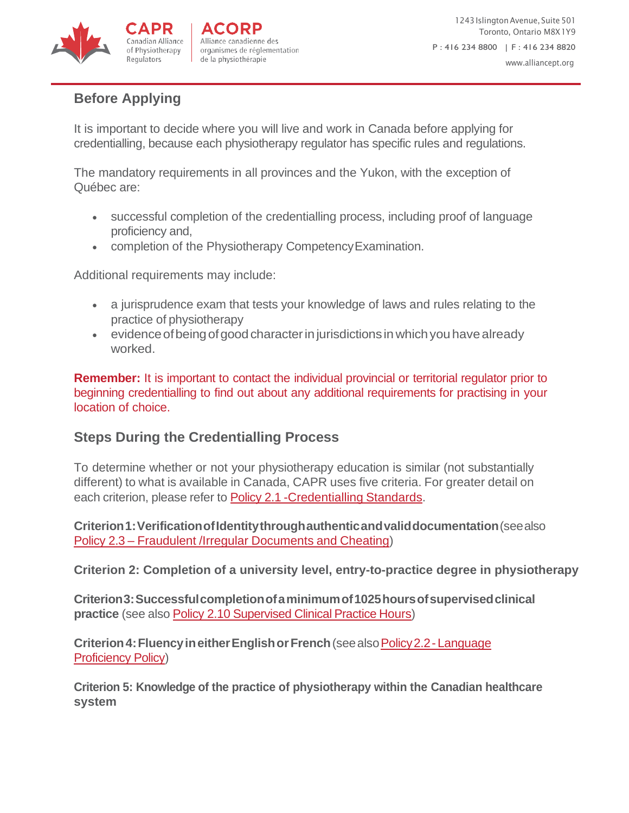

# <span id="page-5-0"></span>**Before Applying**

It is important to decide where you will live and work in Canada before applying for credentialling, because each physiotherapy regulator has specific rules and regulations.

The mandatory requirements in all provinces and the Yukon, with the exception of Québec are:

- successful completion of the credentialling process, including proof of language proficiency and,
- completion of the Physiotherapy CompetencyExamination.

Additional requirements may include:

- a jurisprudence exam that tests your knowledge of laws and rules relating to the practice of physiotherapy
- <span id="page-5-1"></span>• evidence of being of good character in jurisdictions in which you have already worked.

**Remember:** It is important to contact the individual provincial or territorial regulator prior to beginning credentialling to find out about any additional requirements for practising in your location of choice.

# **Steps During the Credentialling Process**

To determine whether or not your physiotherapy education is similar (not substantially different) to what is available in Canada, CAPR uses five criteria. For greater detail on each criterion, please refer to Policy 2.1 [-Credentialling](http://www.alliancept.org/becoming-credentialled/credentialling-policies/credentialling-standards/) Standards.

**Criterion1:VerificationofIdentitythroughauthenticandvaliddocumentation**(seealso Policy 2.3 – Fraudulent /Irregular [Documents](http://www.alliancept.org/becoming-credentialled/credentialling-policies/fraudulentirregular-documents-cheating/) and Cheating)

**Criterion 2: Completion of a university level, entry-to-practice degree in physiotherapy**

**Criterion3:Successfulcompletionofaminimumof1025hoursofsupervisedclinical practice** (see also Policy 2.10 [Supervised](http://www.alliancept.org/becoming-credentialled/credentialling-policies/supervised-clinical-practice-hours/) Clinical Practice Hours)

**Criterion 4: Fluency in either English or French** (see also Policy 2.2 - Language [Proficiency](http://www.alliancept.org/becoming-credentialled/credentialling-policies/language-proficiency-policy/) Policy)

**Criterion 5: Knowledge of the practice of physiotherapy within the Canadian healthcare system**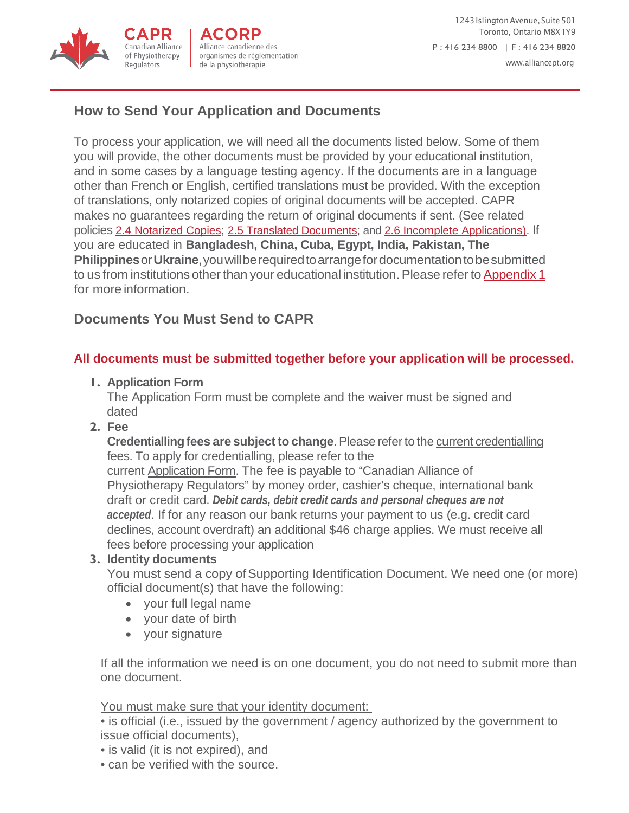

# <span id="page-6-0"></span>**[How to Send Your Application and Documents](#page-6-0)**

<span id="page-6-1"></span>To process your application, we will need all the documents listed below. Some of them you will provide, the other documents must be provided by your educational institution, and in some cases by a language testing agency. If the documents are in a language other than French or English, certified translations must be provided. With the exception of translations, only notarized copies of original documents will be accepted. CAPR makes no guarantees regarding the return of original documents if sent. (See related policies [2.4 Notarized Copies;](http://www.alliancept.org/becoming-credentialled/credentialling-policies/notarized-copies/) [2.5 Translated Documents; a](http://www.alliancept.org/becoming-credentialled/credentialling-policies/translated-documents/)nd [2.6 Incomplete Applications\). I](http://www.alliancept.org/becoming-credentialled/credentialling-policies/incomplete-applications/)f you are educated in **Bangladesh, China, Cuba, Egypt, India, Pakistan, The Philippines**or**Ukraine**,youwillberequiredtoarrangefordocumentationtobesubmitted to us from institutions other than your educational institution. Please refer to [Appendix](http://www.alliancept.org/becoming-credentialled/credentialling-policies/appendix-1/) 1 for more information.

# **[Documents You Must Send to CAPR](#page-6-1)**

### **All documents must be submitted together before your application will be processed.**

#### **1. Application Form**

The Application Form must be complete and the waiver must be signed and dated

**2. Fee**

**Credentialling fees are subject to change**. Please refer to the current credentialling fees. To apply for credentialling, please refer to the

current [Application Form. T](http://www.alliancept.org/becoming-credentialled/credentialling-forms/)he fee is payable to "Canadian Alliance of Physiotherapy Regulators" by money order, cashier's cheque, international bank draft or credit card. *Debit cards, debit credit cards and personal cheques are not accepted*. If for any reason our bank returns your payment to us (e.g. credit card declines, account overdraft) an additional \$46 charge applies. We must receive all fees before processing your application

#### **3. Identity documents**

You must send a copy of Supporting Identification Document. We need one (or more) official document(s) that have the following:

- your full legal name
- your date of birth
- your signature

If all the information we need is on one document, you do not need to submit more than one document.

You must make sure that your identity document:

• is official (i.e., issued by the government / agency authorized by the government to issue official documents),

- is valid (it is not expired), and
- can be verified with the source.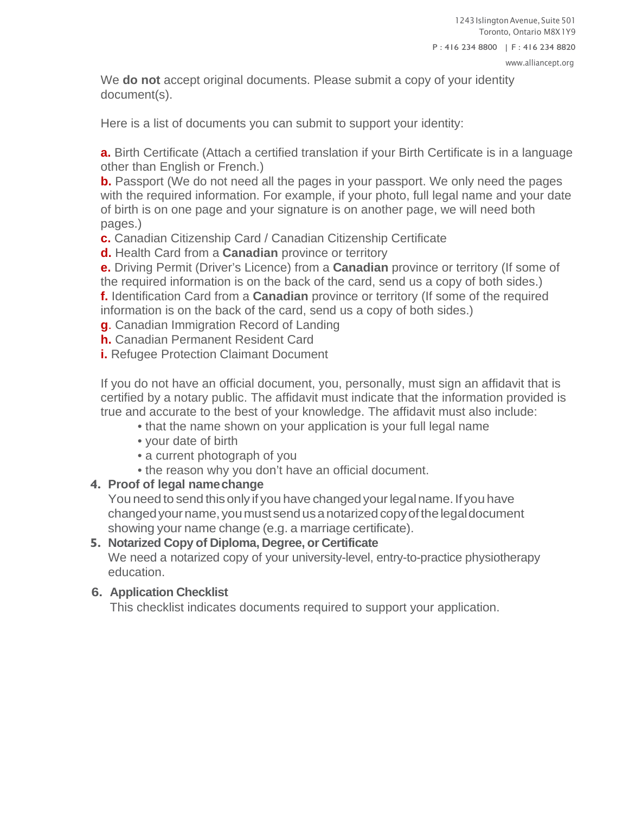We **do not** accept original documents. Please submit a copy of your identity document(s).

Here is a list of documents you can submit to support your identity:

**a.** Birth Certificate (Attach a certified translation if your Birth Certificate is in a language other than English or French.)

**b.** Passport (We do not need all the pages in your passport. We only need the pages with the required information. For example, if your photo, full legal name and your date of birth is on one page and your signature is on another page, we will need both pages.)

**c.** Canadian Citizenship Card / Canadian Citizenship Certificate

**d.** Health Card from a **Canadian** province or territory

**e.** Driving Permit (Driver's Licence) from a **Canadian** province or territory (If some of the required information is on the back of the card, send us a copy of both sides.) **f.** Identification Card from a **Canadian** province or territory (If some of the required information is on the back of the card, send us a copy of both sides.)

**g**. Canadian Immigration Record of Landing

**h.** Canadian Permanent Resident Card

**i.** Refugee Protection Claimant Document

If you do not have an official document, you, personally, must sign an affidavit that is certified by a notary public. The affidavit must indicate that the information provided is true and accurate to the best of your knowledge. The affidavit must also include:

- that the name shown on your application is your full legal name
- your date of birth
- a current photograph of you
- the reason why you don't have an official document.

#### **4. Proof of legal namechange**

You need to send this only if you have changed your legal name. If you have changedyourname,youmustsendusanotarizedcopyofthelegaldocument showing your name change (e.g. a marriage certificate).

### **5. Notarized Copy of Diploma, Degree, or Certificate**

We need a notarized copy of your university-level, entry-to-practice physiotherapy education.

### **6. Application Checklist**

This checklist indicates documents required to support your application.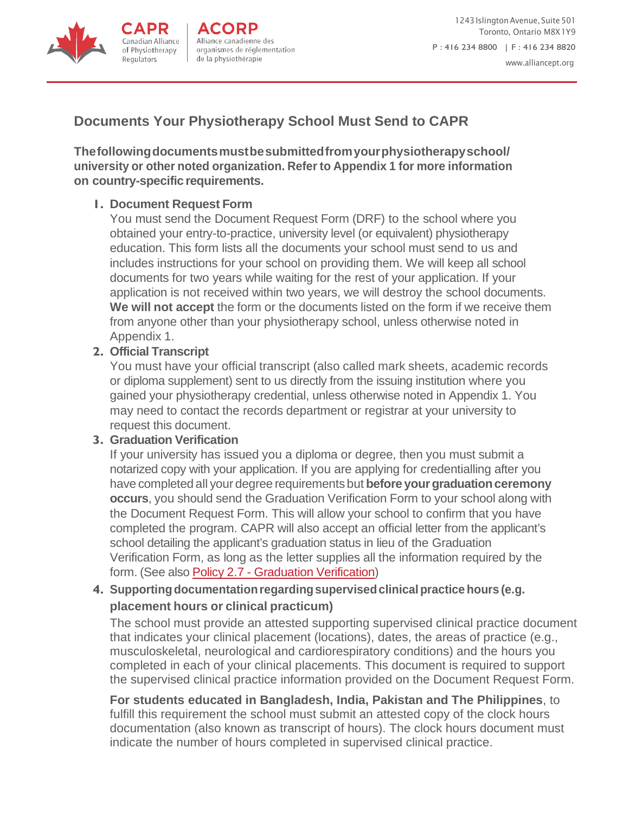

# <span id="page-8-0"></span>**[Documents Your Physiotherapy School Must Send to CAPR](#page-8-0)**

**[Thefollowingdocumentsmustbesubmittedfromyourphysiotherapyschool/](#page-8-0)  university or other noted [organization.](#page-8-0) Refer to Appendix 1 for more information [on country-specific](#page-8-0) requirements.**

#### **1. [Document Request](#page-8-0) Form**

[You must send the Document Request Form \(DRF\) to the school where you](#page-8-0)  [obtained your entry-to-practice, university level \(or equivalent\) physiotherapy](#page-8-0)  [education. This form lists all the documents your school must send to us and](#page-8-0)  [includes instructions for your school on providing them. We will keep all school](#page-8-0)  [documents for two years while waiting for the rest of your application. If your](#page-8-0)  [application is not received within two years, we will destroy the school documents.](#page-8-0)  **We will not accept** the form or the [documents](#page-8-0) listed on the form if we receive them [from anyone other than your physiotherapy school, unless otherwise noted in](#page-8-0)  [Appendix](#page-8-0) 1.

#### **2. Official [Transcript](#page-8-0)**

You must have your official transcript (also called mark sheets, [academic](#page-8-0) records [or diploma supplement\) sent to us directly from the issuing institution where you](#page-8-0)  [gained your physiotherapy credential, unless otherwise noted in Appendix 1. You](#page-8-0)  [may need to contact the records department or registrar at your university to](#page-8-0)  [request this](#page-8-0) document.

#### **3. Graduation Verification**

If your university has issued you a diploma or degree, then you must submit a notarized copy with your application. If you are applying for credentialling after you have completed all your degree requirements but **before yourgraduationceremony occurs**, you should send the Graduation Verification Form to your school along with the Document Request Form. This will allow your school to confirm that you have completed the program. CAPR will also accept an official letter from the applicant's school detailing the applicant's graduation status in lieu of the Graduation Verification Form, as long as the letter supplies all the information required by the form. (See also Policy 2.7 - Graduation [Verification\)](http://www.alliancept.org/becoming-credentialled/credentialling-policies/graduation/)

### **4. Supportingdocumentationregardingsupervisedclinicalpractice hours (e.g. placement hours or clinical practicum)**

The school must provide an attested supporting supervised clinical practice document that indicates your clinical placement (locations), dates, the areas of practice (e.g., musculoskeletal, neurological and cardiorespiratory conditions) and the hours you completed in each of your clinical placements. This document is required to support the supervised clinical practice information provided on the Document Request Form.

**For students educated in Bangladesh, India, Pakistan and The Philippines**, to fulfill this requirement the school must submit an attested copy of the clock hours documentation (also known as transcript of hours). The clock hours document must indicate the number of hours completed in supervised clinical practice.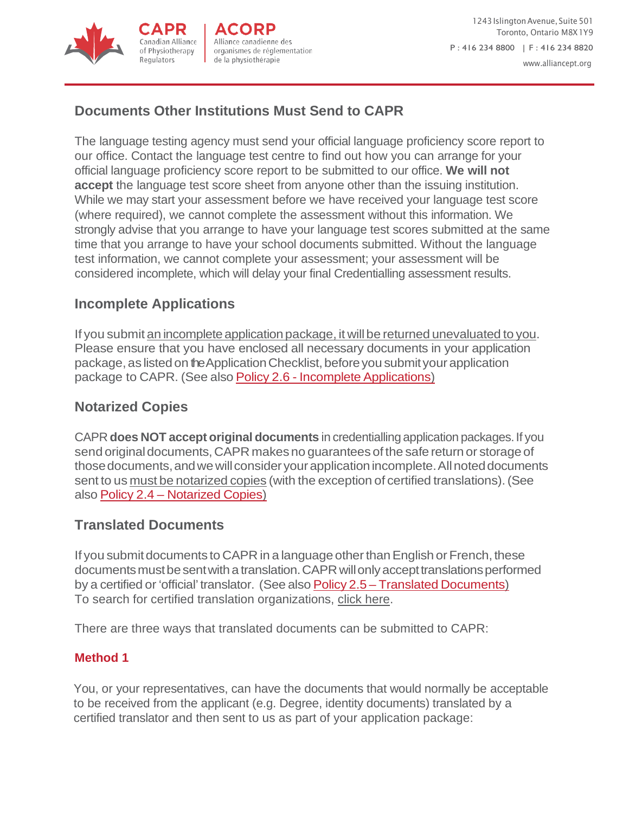

<span id="page-9-1"></span>1243 Islington Avenue, Suite 501 Toronto, Ontario M8X1Y9 P : 416 234 8800 | F : 416 234 8820 [www.alliancept.org](http://www.alliancept.org/)

# <span id="page-9-0"></span>**[Documents Other Institutions Must Send to CAPR](#page-9-0)**

<span id="page-9-2"></span>[The language testing agency must send your official language proficiency score report to](#page-9-0)  [our office. Contact the language test centre to find out how you can](#page-9-0) arrange for your [official language proficiency score report to be submitted to our office.](#page-9-0) **We will not accept** [the language test score sheet from anyone other than the issuing institution.](#page-9-0)  [While we may start your assessment before we have received your language test score](#page-9-0)  [\(where required\), we cannot complete the assessment without this information. We](#page-9-0)  [strongly advise that you arrange to have your language test scores submitted at the same](#page-9-0)  [time that you arrange to have your school documents submitted. Without the language](#page-9-0)  [test information, we cannot complete your assessment; your assessment will be](#page-9-0)  [considered incomplete, which will delay your final Credentialling assessment results.](#page-9-0)

### **[Incomplete Applications](#page-9-1)**

If you submit an incomplete application package, it will be returned unevaluated to you. Please ensure that you have enclosed all necessary documents in your application package, as listed on the Application Checklist, before you submit your application package to CAPR. (See also Policy 2.6 - Incomplete [Applications\)](http://www.alliancept.org/becoming-credentialled/credentialling-policies/incomplete-applications/)

### **[Notarized Copies](#page-9-2)**

<span id="page-9-3"></span>CAPR **does NOT accept original documents** in credentialling application packages.If you send original documents, CAPR makes no guarantees of the safe return or storage of those documents, and we will consider your application incomplete. All noted documents sent to us must be notarized copies (with the exception of certified translations).(See also Policy 2.4 – [Notarized](http://www.alliancept.org/becoming-credentialled/credentialling-policies/notarized-copies/) Copies)

#### **[Translated Documents](#page-9-3)**

If you submitdocuments to CAPR in a language otherthanEnglish or French, these documents must be sent with a translation. CAPR will only accept translations performed by a certified or 'official' translator. (See also Policy 2.5 – Translated [Documents\)](http://www.alliancept.org/becoming-credentialled/credentialling-policies/translated-documents/) To search for certified translation organizations, [click here.](http://www.fit-ift.org/)

There are three ways that translated documents can be submitted to CAPR:

#### **Method 1**

You, or your representatives, can have the documents that would normally be acceptable to be received from the applicant (e.g. Degree, identity documents) translated by a certified translator and then sent to us as part of your application package: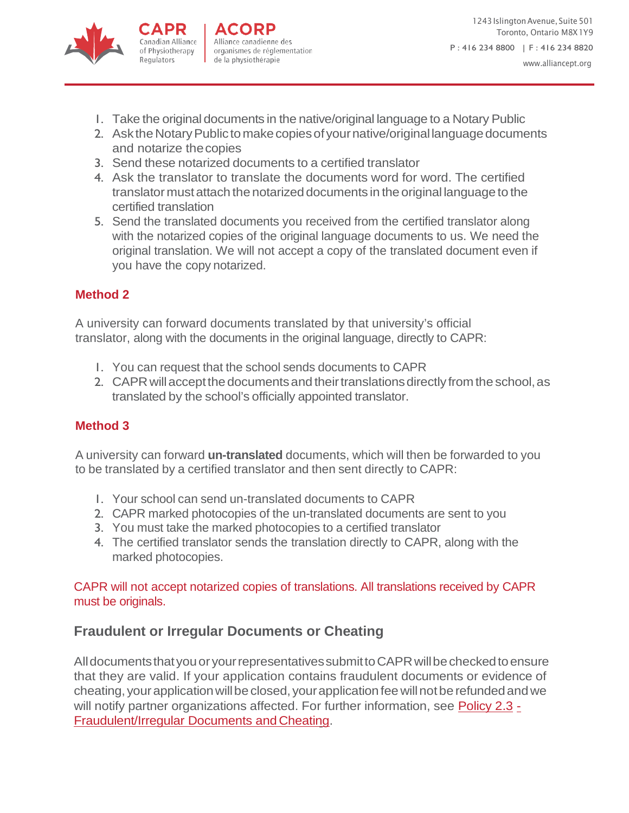

- 1. Take the original documents in the native/original language to a Notary Public
- 2. Ask the Notary Public to make copies of your native/original language documents and notarize thecopies
- 3. Send these notarized documents to a certified translator
- 4. Ask the translator to translate the documents word for word. The certified translator must attach the notarized documents in the original language to the certified translation
- 5. Send the translated documents you received from the certified translator along with the notarized copies of the original language documents to us. We need the original translation. We will not accept a copy of the translated document even if you have the copy notarized.

# **Method 2**

A university can forward documents translated by that university's official translator, along with the documents in the original language, directly to CAPR:

- 1. You can request that the school sends documents to CAPR
- <span id="page-10-1"></span>2. CAPR will accept the documents and their translations directly from the school, as translated by the school's officially appointed translator.

# **Method 3**

A university can forward **un-translated** documents, which will then be forwarded to you to be translated by a certified translator and then sent directly to CAPR:

- <span id="page-10-0"></span>1. Your school can send un-translated documents to CAPR
- 2. CAPR marked photocopies of the un-translated documents are sent to you
- 3. You must take the marked photocopies to a certified translator
- 4. The certified translator sends the translation directly to CAPR, along with the marked photocopies.

CAPR will not accept notarized copies of translations. All translations received by CAPR must be originals.

# **[Fraudulent or Irregular Documents or Cheating](#page-10-1)**

All documents that you or your representatives submit to CAPR will be checked to ensure that they are valid. If your application contains fraudulent documents or evidence of cheating, your application will be closed, your application fee will not be refunded and we will notify partner organizations affected. For further information, see [Policy 2.3](http://www.alliancept.org/becoming-credentialled/credentialling-policies/fraudulentirregular-documents-cheating/) -[Fraudulent/Irregular Documents andCheating.](http://www.alliancept.org/becoming-credentialled/credentialling-policies/fraudulentirregular-documents-cheating/)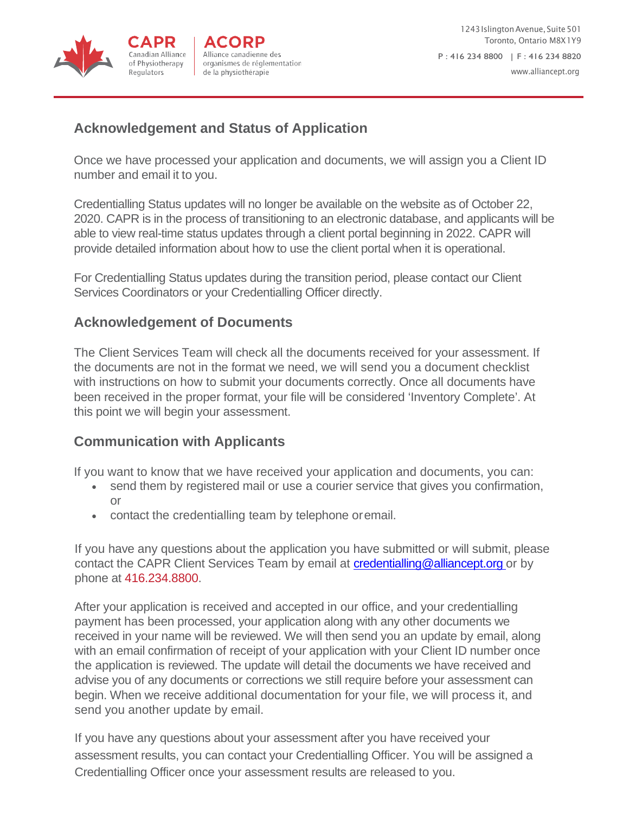Regulators

<span id="page-11-1"></span>

# <span id="page-11-0"></span>**[Acknowledgement and Status of Application](#page-11-0)**

Once we have processed your application and documents, we will assign you a Client ID number and email it to you.

Credentialling Status updates will no longer be available on the website as of October 22, 2020. CAPR is in the process of transitioning to an electronic database, and applicants will be able to view real-time status updates through a client portal beginning in 2022. CAPR will provide detailed information about how to use the client portal when it is operational.

For Credentialling Status updates during the transition period, please contact our Client Services Coordinators or your Credentialling Officer directly.

### **[Acknowledgement of Documents](#page-11-0)**

[The Client Services Team will check all the documents received for your assessment. If](#page-11-0)  [the documents are not in the format we need, we will send you a document checklist](#page-11-0)  [with instructions on how to submit your documents correctly. Once all documents have](#page-11-0) [been received in the proper format, your file will be considered 'Inventory Complete'. At](#page-11-0)  [this point we will begin your assessment.](#page-11-0)

### **[Communication with Applicants](#page-11-1)**

If you want to know that we have received your application and documents, you can:

- send them by registered mail or use a courier service that gives you confirmation, or
- contact the credentialling team by telephone oremail.

If you have any questions about the application you have submitted or will submit, please contact the CAPR Client Services Team by email at [credentialling@alliancept.org o](mailto:credentialling@alliancept.org)r by phone at 416.234.8800.

After your application is received and accepted in our office, and your credentialling payment has been processed, your application along with any other documents we received in your name will be reviewed. We will then send you an update by email, along with an email confirmation of receipt of your application with your Client ID number once the application is reviewed. The update will detail the documents we have received and advise you of any documents or corrections we still require before your assessment can begin. When we receive additional documentation for your file, we will process it, and send you another update by email.

If you have any questions about your assessment after you have received your assessment results, you can contact your Credentialling Officer. You will be assigned a Credentialling Officer once your assessment results are released to you.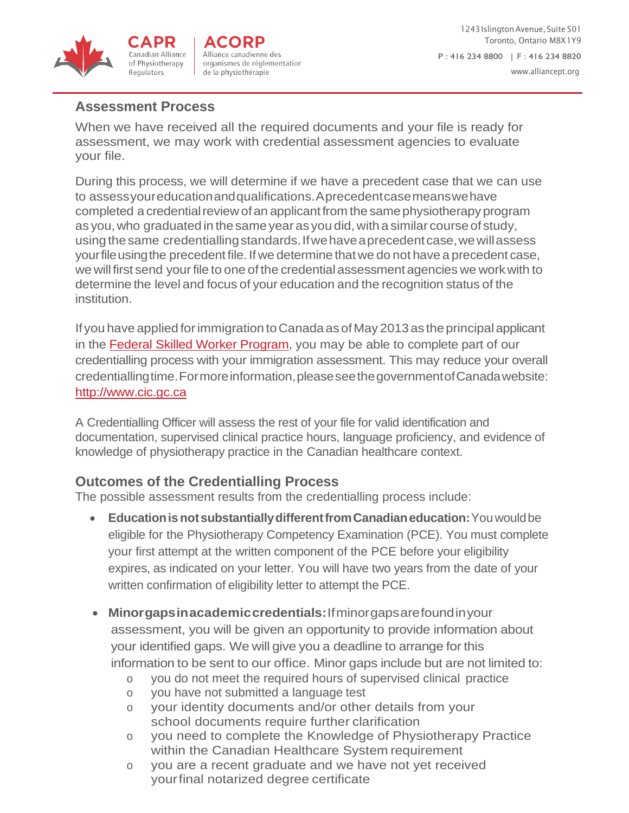

# <span id="page-12-0"></span>**[Assessment Process](#page-12-0)**

When we have received all the required documents and your file is ready for assessment, we may work with credential assessment agencies to evaluate your file.

During this process, we will determine if we have a precedent case that we can use to assessyoureducationandqualifications.Aprecedentcasemeanswehave completed a credential review of an applicant from the same physiotherapy program as you, who graduated in the same year as you did, with a similar course of study, using the same credentiallingstandards.Ifwehaveaprecedentcase,wewillassess your file using the precedent file. If we determine that we do not have a precedent case, we will first send your file to one of the credential assessment agencies we work with to determine the level and focus of your education and the recognition status of the institution.

<span id="page-12-1"></span>If you have applied for immigration to Canada as of May 2013 as the principal applicant in the [Federal Skilled Worker Program, y](http://www.alliancept.org/becoming-credentialled/credentialling-faqs/)ou may be able to complete part of our credentialling process with your immigration assessment. This may reduce your overall credentiallingtime.Formoreinformation,pleaseseethegovernmentofCanadawebsite: [http://www.cic.gc.ca](http://www.cic.gc.ca/)

A Credentialling Officer will assess the rest of your file for valid identification and documentation, supervised clinical practice hours, language proficiency, and evidence of knowledge of physiotherapy practice in the Canadian healthcare context.

# **Outcomes of the Credentialling Process**

The possible assessment results from the credentialling process include:

- **EducationisnotsubstantiallydifferentfromCanadianeducation:**Youwouldbe eligible for the Physiotherapy Competency Examination (PCE). You must complete your first attempt at the written component of the PCE before your eligibility expires, as indicated on your letter. You will have two years from the date of your written confirmation of eligibility letter to attempt the PCE.
- **Minorgapsinacademiccredentials:**Ifminorgapsarefoundinyour assessment, you will be given an opportunity to provide information about your identified gaps. We will give you a deadline to arrange for this information to be sent to our office. Minor gaps include but are not limited to:
	- o you do not meet the required hours of supervised clinical practice
	- o you have not submitted a language test
	- o your identity documents and/or other details from your school documents require further clarification
	- o you need to complete the Knowledge of Physiotherapy Practice within the Canadian Healthcare System requirement
	- o you are a recent graduate and we have not yet received yourfinal notarized degree certificate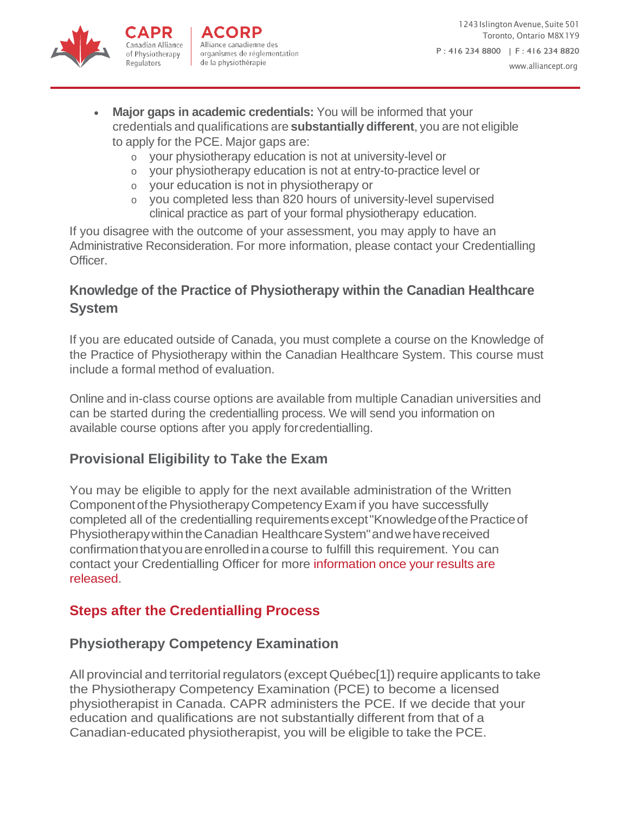

Canadian Alliance

of Physiotherapy

<span id="page-13-2"></span>Regulators

- <span id="page-13-1"></span>**Major gaps in academic credentials:** You will be informed that your credentials and qualifications are **substantially different**, you are not eligible to apply for the PCE. Major gaps are:
	- o your physiotherapy education is not at university-level or
	- o your physiotherapy education is not at entry-to-practice level or
	- o your education is not in physiotherapy or
	- o you completed less than 820 hours of university-level supervised clinical practice as part of your formal physiotherapy education.

<span id="page-13-0"></span>If you disagree with the outcome of your assessment, you may apply to have an Administrative Reconsideration. For more information, please contact your Credentialling Officer.

# **Knowledge of the Practice of Physiotherapy within the Canadian Healthcare System**

If you are educated outside of Canada, you must complete a course on the Knowledge of the Practice of Physiotherapy within the Canadian Healthcare System. This course must include a formal method of evaluation.

Online and in-class course options are available from multiple Canadian universities and can be started during the credentialling process. We will send you information on available course options after you apply forcredentialling.

# **Provisional Eligibility to Take the Exam**

You may be eligible to apply for the next available administration of the Written ComponentofthePhysiotherapyCompetencyExam if you have successfully completed all of the credentialling requirementsexcept"KnowledgeofthePracticeof Physiotherapy within the Canadian Healthcare System" and we have received confirmation that you are enrolled in a course to fulfill this requirement. You can contact your Credentialling Officer for more information once your results are released.

# **[Steps after the Credentialling Process](#page-13-1)**

# **[Physiotherapy Competency Examination](#page-13-1)**

All provincial and territorial regulators (except Québec[1]) require applicants to take [the Physiotherapy Competency Examination \(PCE\) to become a licensed](#page-13-1)  [physiotherapist in Canada. CAPR administers the PCE. If we decide that your](#page-13-1)  [education and qualifications are](#page-13-1) not substantially different from that of a [Canadian-educated](#page-13-1) physiotherapist, you will be eligible to take the PCE.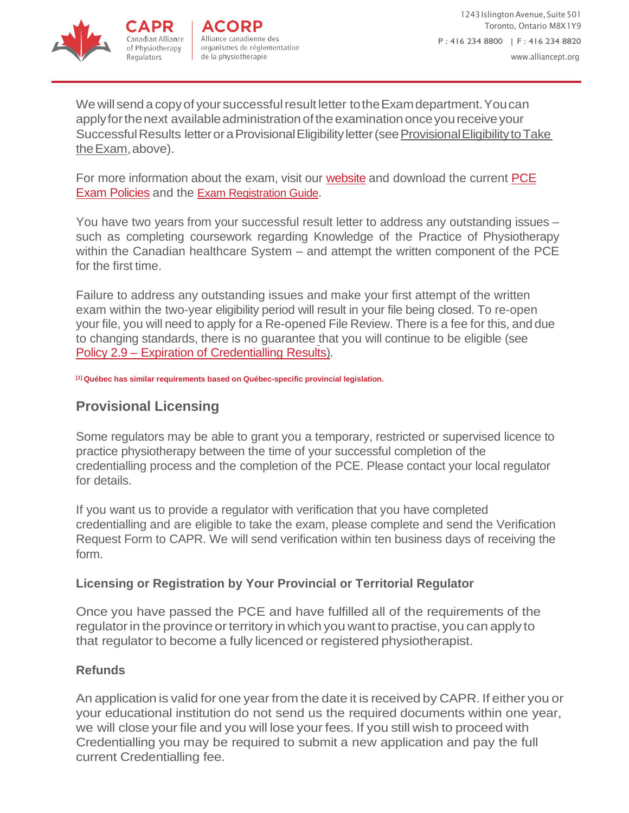

Regulators



We will send a copy of your successful result letter to the Exam department. You can apply for the next available administration of the examination once you receive your Successful Results letter or a Provisional Eligibility letter (see Provisional Eligibility to Take theExam,above).

For more information about the exam, visit our [website](http://www.alliancept.org/taking-the-exam/) and download the current [PCE](http://www.alliancept.org/taking-the-exam/exam-application-information/exam-policies/) [Exam Policies](http://www.alliancept.org/taking-the-exam/exam-application-information/exam-policies/) and the [Exam Registration Guide.](https://www.alliancept.org/taking-the-exam/exam-application-information/exam-registration-guide/)

<span id="page-14-0"></span>You have two years from your successful result letter to address any outstanding issues – such as completing coursework regarding Knowledge of the Practice of Physiotherapy within the Canadian healthcare System – and attempt the written component of the PCE for the first time.

Failure to address any outstanding issues [and make your first attempt of the w](#page-13-2)ritten exam within the two-year eligibility period will result in your file being closed. To re-open your file, you will need to apply for a Re-opened File Review. There is a fee for this, and due to changing standards, there is no guarantee that you will continue to be eligible (see Policy 2.9 – [Expiration of Credentialling](http://www.alliancept.org/becoming-credentialled/credentialling-policies/expiration-credentialling-results/) Results[\)](http://www.alliancept.org/becoming-credentialled/credentialling-policies/expiration-credentialling-results/).

<span id="page-14-1"></span>**[1] Québec has similar requirements based on Québec-specific provincial legislation.**

### **Provisional Licensing**

Some regulators may be able to grant you a temporary, restricted or supervised licence to practice physiotherapy between the time of your successful completion of the credentialling process and the completion of the PCE. Please contact your local regulator for details.

If you want us to provide a regulator with verification that you have completed credentialling and are eligible to take the exam, please complete and send the Verification Request Form to CAPR. We will send verification within ten business days of receiving the form.

#### **Licensing or Registration by Your Provincial or Territorial Regulator**

Once you have passed the PCE and have fulfilled all of the requirements of the regulator in the province or territory in which you want to practise, you can apply to that regulator to become a fully licenced or registered physiotherapist.

#### **Refunds**

An application is valid for one year from the date it is received by CAPR. If either you or your educational institution do not send us the required documents within one year, we will close your file and you will lose your fees. If you still wish to proceed with Credentialling you may be required to submit a new application and pay the full current Credentialling fee.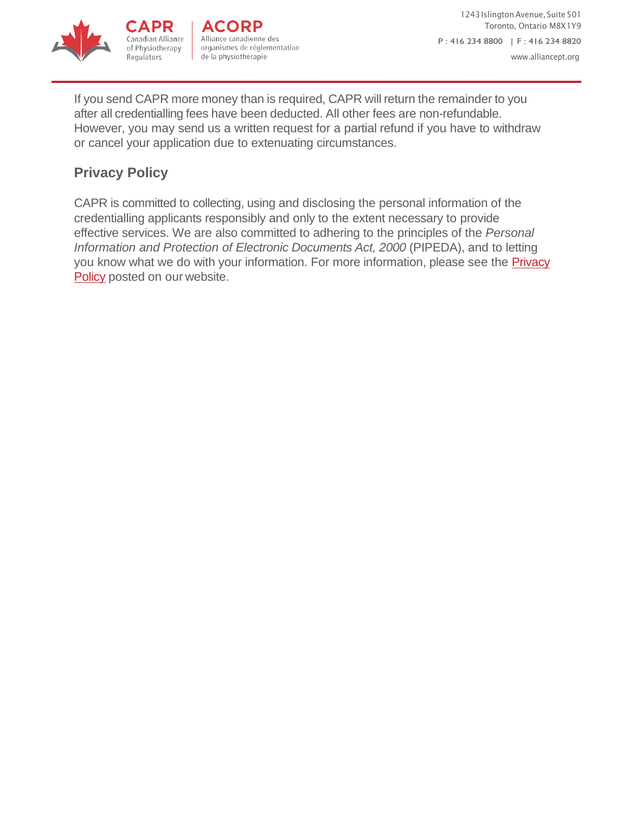



<span id="page-15-0"></span>If you send CAPR more money than is required, CAPR will return the remainder to you after all credentialling fees have been deducted. All other fees are non-refundable. However, you may send us a written request for a partial refund if you have to withdraw or cancel your application due to extenuating circumstances.

# **Privacy Policy**

APR

Regulators

CAPR is committed to collecting, using and disclosing the personal information of the credentialling applicants responsibly and only to the extent necessary to provide effective services. We are also committed to adhering to the principles of the *Personal Information and Protection of Electronic Documents Act, 2000 (PIPEDA), and to lettin[g](http://www.alliancept.org/privacy/)* you know what we do with your information. For more information, please see the **Privacy** Policy [posted on our](http://www.alliancept.org/privacy/) website.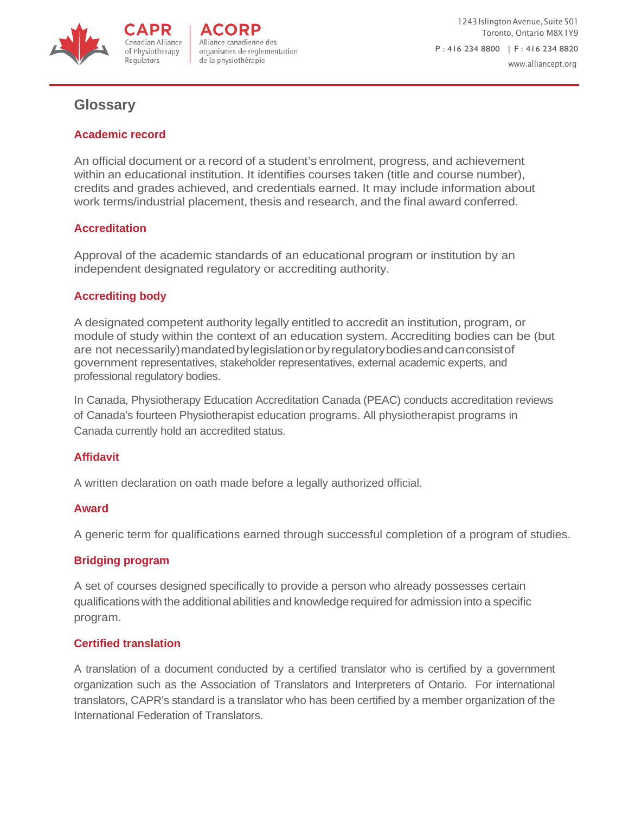

1243 Islington Avenue, Suite 501 Toronto, Ontario M8X1Y9 P : 416 234 8800 | F : 416 234 8820 [www.alliancept.org](http://www.alliancept.org/)

### <span id="page-16-0"></span>**Glossary**

#### **Academic record**

of Physiotherapy

Regulators

An official document or a record of a student's enrolment, progress, and achievement within an educational institution. It identifies courses taken (title and course number), credits and grades achieved, and credentials earned. It may include information about work terms/industrial placement, thesis and research, and the final award conferred.

#### **Accreditation**

Approval of the academic standards of an educational program or institution by an independent designated regulatory or accrediting authority.

#### **Accrediting body**

A designated competent authority legally entitled to accredit an institution, program, or module of study within the context of an education system. Accrediting bodies can be (but are not necessarily)mandatedbylegislationorbyregulatorybodiesandcanconsistof government representatives, stakeholder representatives, external academic experts, and professional regulatory bodies.

In Canada, Physiotherapy Education Accreditation Canada (PEAC) conducts accreditation reviews of Canada's fourteen Physiotherapist education programs. All physiotherapist programs in Canada currently hold an accredited status.

#### **Affidavit**

A written declaration on oath made before a legally authorized official.

#### **Award**

A generic term for qualifications earned through successful completion of a program of studies.

#### **Bridging program**

A set of courses designed specifically to provide a person who already possesses certain qualificationswith the additional abilities and knowledgerequired for admission into a specific program.

#### **Certified translation**

A translation of a document conducted by a certified translator who is certified by a government organization such as the Association of Translators and Interpreters of Ontario. For international translators, CAPR's standard is a translator who has been certified by a member organization of the International Federation of Translators.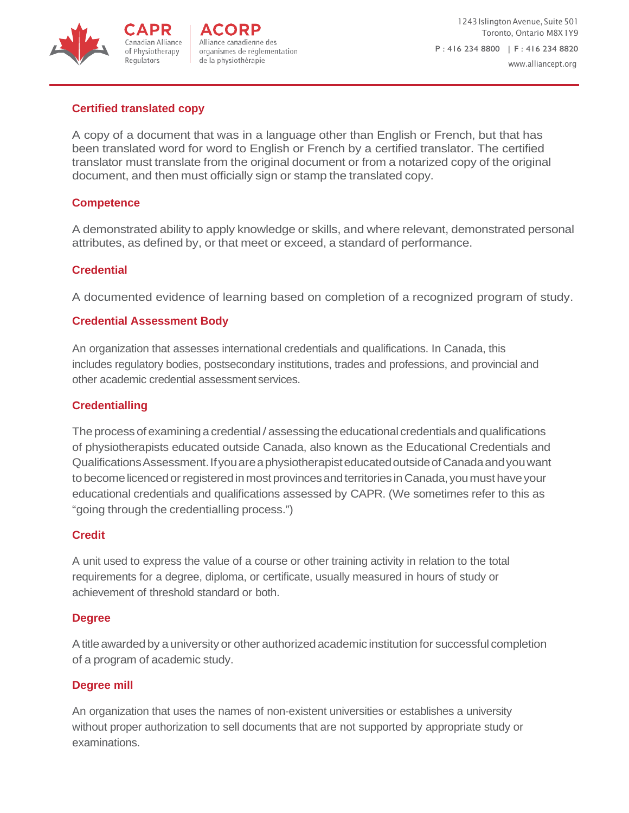

1243 Islington Avenue, Suite 501 Toronto, Ontario M8X1Y9 P : 416 234 8800 | F : 416 234 8820 [www.alliancept.org](http://www.alliancept.org/)

#### **Certified translated copy**

of Physiotherapy Regulators

A copy of a document that was in a language other than English or French, but that has been translated word for word to English or French by a certified translator. The certified translator must translate from the original document or from a notarized copy of the original document, and then must officially sign or stamp the translated copy.

#### **Competence**

A demonstrated ability to apply knowledge or skills, and where relevant, demonstrated personal attributes, as defined by, or that meet or exceed, a standard of performance.

#### **Credential**

A documented evidence of learning based on completion of a recognized program of study.

#### **Credential Assessment Body**

An organization that assesses international credentials and qualifications. In Canada, this includes regulatory bodies, postsecondary institutions, trades and professions, and provincial and other academic credential assessment services.

#### **Credentialling**

The process of examining a credential/assessing the educational credentials and qualifications of physiotherapists educated outside Canada, also known as the Educational Credentials and QualificationsAssessment.IfyouareaphysiotherapisteducatedoutsideofCanadaandyouwant to become licenced or registered in most provinces and territories in Canada, you must have your educational credentials and qualifications assessed by CAPR. (We sometimes refer to this as "going through the credentialling process.")

#### **Credit**

A unit used to express the value of a course or other training activity in relation to the total requirements for a degree, diploma, or certificate, usually measured in hours of study or achievement of threshold standard or both.

#### **Degree**

A title awarded by a university or other authorized academic institution for successful completion of a program of academic study.

#### **Degree mill**

An organization that uses the names of non-existent universities or establishes a university without proper authorization to sell documents that are not supported by appropriate study or examinations.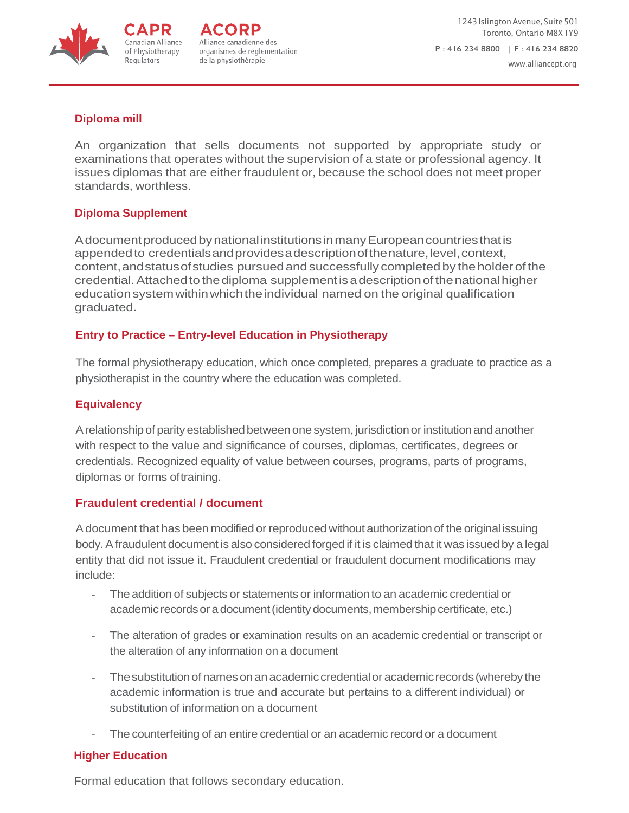

1243 Islington Avenue, Suite 501 Toronto, Ontario M8X1Y9 P : 416 234 8800 | F : 416 234 8820 [www.alliancept.org](http://www.alliancept.org/)

#### **Diploma mill**

An organization that sells documents not supported by appropriate study or examinations that operates without the supervision of a state or professional agency. It issues diplomas that are either fraudulent or, because the school does not meet proper standards, worthless.

#### **Diploma Supplement**

Canadian Allianceof Physiotherapy

Regulators

AdocumentproducedbynationalinstitutionsinmanyEuropeancountriesthatis appended to credentials and provides a description of the nature, level, context, content, and status of studies pursued and successfully completed by the holder of the credential. Attached to the diploma supplement is a description of the national higher educationsystemwithinwhichtheindividual named on the original qualification graduated.

#### **Entry to Practice – Entry-level Education in Physiotherapy**

The formal physiotherapy education, which once completed, prepares a graduate to practice as a physiotherapist in the country where the education was completed.

#### **Equivalency**

A relationship of parity established between one system, jurisdiction or institution and another with respect to the value and significance of courses, diplomas, certificates, degrees or credentials. Recognized equality of value between courses, programs, parts of programs, diplomas or forms oftraining.

#### **Fraudulent credential / document**

Adocument that has been modified or reproduced without authorization of the original issuing body.Afraudulent document is also considered forged if it is claimed that it was issued by a legal entity that did not issue it. Fraudulent credential or fraudulent document modifications may include:

- The addition of subjects or statements or information to an academic credential or academic records or a document (identity documents, membership certificate, etc.)
- The alteration of grades or examination results on an academic credential or transcript or the alteration of any information on a document
- The substitution of names on an academic credential or academic records (whereby the academic information is true and accurate but pertains to a different individual) or substitution of information on a document
- The counterfeiting of an entire credential or an academic record or a document

#### **Higher Education**

Formal education that follows secondary education.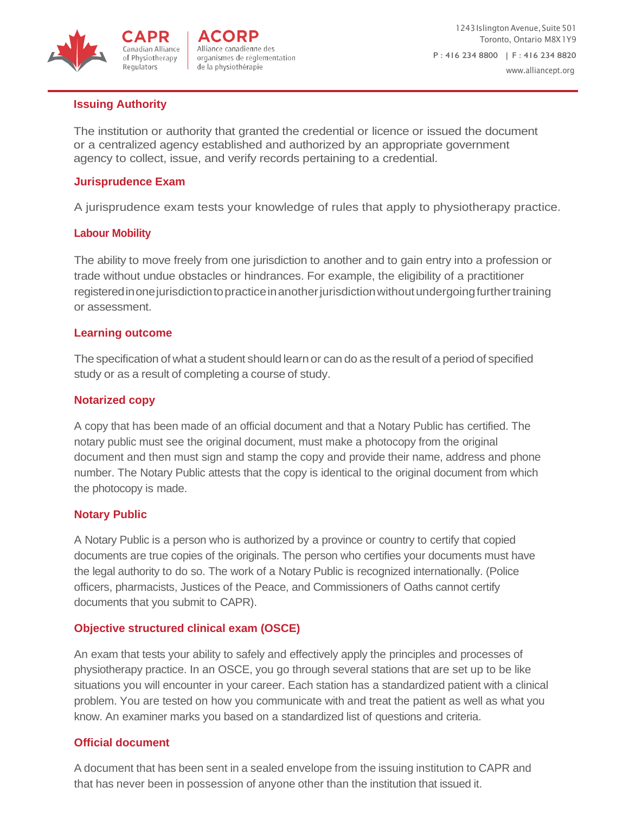

#### **Issuing Authority**

of Physiotherapy

Regulators

The institution or authority that granted the credential or licence or issued the document or a centralized agency established and authorized by an appropriate government agency to collect, issue, and verify records pertaining to a credential.

#### **Jurisprudence Exam**

A jurisprudence exam tests your knowledge of rules that apply to physiotherapy practice.

#### **Labour Mobility**

The ability to move freely from one jurisdiction to another and to gain entry into a profession or trade without undue obstacles or hindrances. For example, the eligibility of a practitioner registeredinonejurisdictiontopracticeinanotherjurisdictionwithoutundergoingfurthertraining or assessment.

#### **Learning outcome**

The specification of what a student should learn or can do as the result of a period of specified study or as a result of completing a course of study.

#### **Notarized copy**

A copy that has been made of an official document and that a Notary Public has certified. The notary public must see the original document, must make a photocopy from the original document and then must sign and stamp the copy and provide their name, address and phone number. The Notary Public attests that the copy is identical to the original document from which the photocopy is made.

#### **Notary Public**

A Notary Public is a person who is authorized by a province or country to certify that copied documents are true copies of the originals. The person who certifies your documents must have the legal authority to do so. The work of a Notary Public is recognized internationally. (Police officers, pharmacists, Justices of the Peace, and Commissioners of Oaths cannot certify documents that you submit to CAPR).

#### **Objective structured clinical exam (OSCE)**

An exam that tests your ability to safely and effectively apply the principles and processes of physiotherapy practice. In an OSCE, you go through several stations that are set up to be like situations you will encounter in your career. Each station has a standardized patient with a clinical problem. You are tested on how you communicate with and treat the patient as well as what you know. An examiner marks you based on a standardized list of questions and criteria.

#### **Official document**

A document that has been sent in a sealed envelope from the issuing institution to CAPR and that has never been in possession of anyone other than the institution that issued it.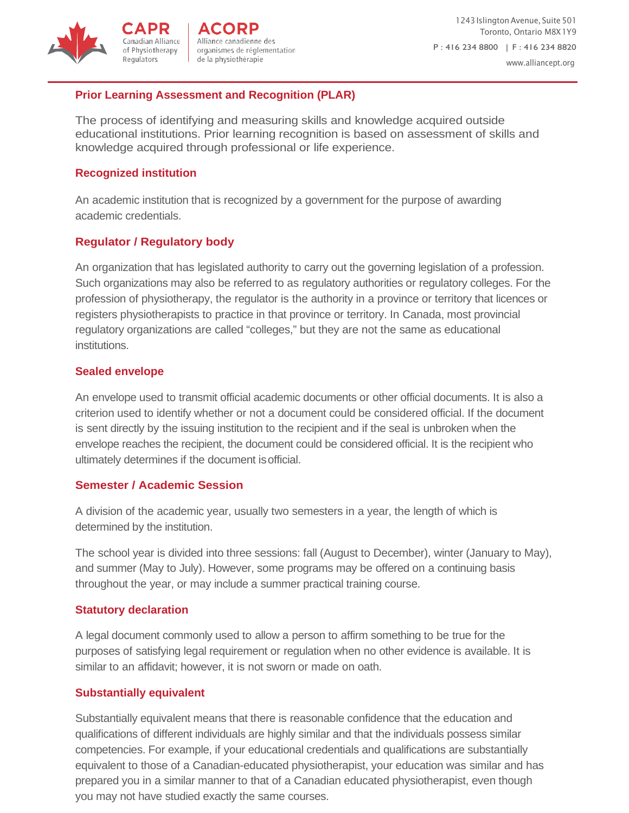

#### **Prior Learning Assessment and Recognition (PLAR)**

The process of identifying and measuring skills and knowledge acquired outside educational institutions. Prior learning recognition is based on assessment of skills and knowledge acquired through professional or life experience.

#### **Recognized institution**

Regulators

An academic institution that is recognized by a government for the purpose of awarding academic credentials.

#### **Regulator / Regulatory body**

An organization that has legislated authority to carry out the governing legislation of a profession. Such organizations may also be referred to as regulatory authorities or regulatory colleges. For the profession of physiotherapy, the regulator is the authority in a province or territory that licences or registers physiotherapists to practice in that province or territory. In Canada, most provincial regulatory organizations are called "colleges," but they are not the same as educational institutions.

#### **Sealed envelope**

An envelope used to transmit official academic documents or other official documents. It is also a criterion used to identify whether or not a document could be considered official. If the document is sent directly by the issuing institution to the recipient and if the seal is unbroken when the envelope reaches the recipient, the document could be considered official. It is the recipient who ultimately determines if the document isofficial.

#### **Semester / Academic Session**

A division of the academic year, usually two semesters in a year, the length of which is determined by the institution.

The school year is divided into three sessions: fall (August to December), winter (January to May), and summer (May to July). However, some programs may be offered on a continuing basis throughout the year, or may include a summer practical training course.

#### **Statutory declaration**

A legal document commonly used to allow a person to affirm something to be true for the purposes of satisfying legal requirement or regulation when no other evidence is available. It is similar to an affidavit; however, it is not sworn or made on oath.

#### **Substantially equivalent**

Substantially equivalent means that there is reasonable confidence that the education and qualifications of different individuals are highly similar and that the individuals possess similar competencies. For example, if your educational credentials and qualifications are substantially equivalent to those of a Canadian-educated physiotherapist, your education was similar and has prepared you in a similar manner to that of a Canadian educated physiotherapist, even though you may not have studied exactly the same courses.